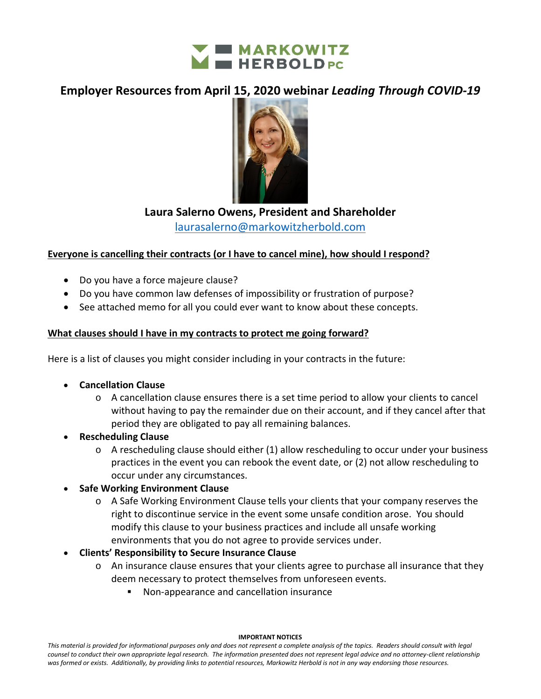

# **Employer Resources from April 15, 2020 webinar** *Leading Through COVID-19*



## **Laura Salerno Owens, President and Shareholder**

[laurasalerno@markowitzherbold.com](mailto:laurasalerno@markowitzherbold.com)

## **Everyone is cancelling their contracts (or I have to cancel mine), how should I respond?**

- Do you have a force majeure clause?
- Do you have common law defenses of impossibility or frustration of purpose?
- See attached memo for all you could ever want to know about these concepts.

## **What clauses should I have in my contracts to protect me going forward?**

Here is a list of clauses you might consider including in your contracts in the future:

- **Cancellation Clause**
	- o A cancellation clause ensures there is a set time period to allow your clients to cancel without having to pay the remainder due on their account, and if they cancel after that period they are obligated to pay all remaining balances.
- **Rescheduling Clause**
	- $\circ$  A rescheduling clause should either (1) allow rescheduling to occur under your business practices in the event you can rebook the event date, or (2) not allow rescheduling to occur under any circumstances.

### • **Safe Working Environment Clause**

- o A Safe Working Environment Clause tells your clients that your company reserves the right to discontinue service in the event some unsafe condition arose. You should modify this clause to your business practices and include all unsafe working environments that you do not agree to provide services under.
- **Clients' Responsibility to Secure Insurance Clause**
	- o An insurance clause ensures that your clients agree to purchase all insurance that they deem necessary to protect themselves from unforeseen events.
		- Non-appearance and cancellation insurance

#### **IMPORTANT NOTICES**

*This material is provided for informational purposes only and does not represent a complete analysis of the topics. Readers should consult with legal counsel to conduct their own appropriate legal research. The information presented does not represent legal advice and no attorney-client relationship was formed or exists. Additionally, by providing links to potential resources, Markowitz Herbold is not in any way endorsing those resources.*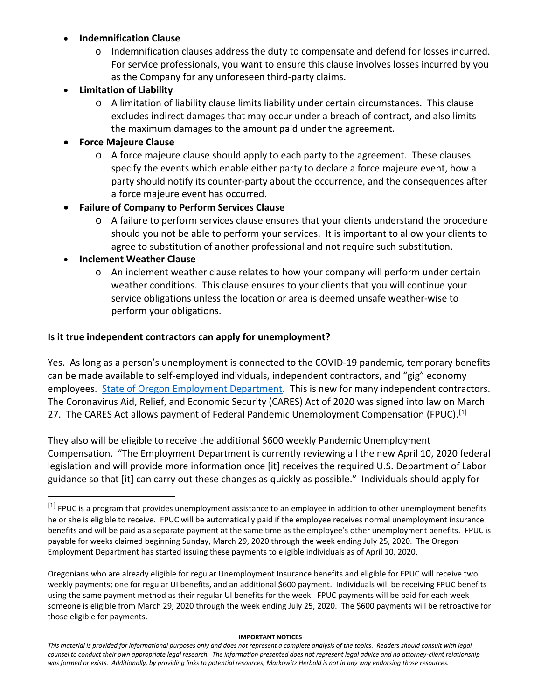## • **Indemnification Clause**

- o Indemnification clauses address the duty to compensate and defend for losses incurred. For service professionals, you want to ensure this clause involves losses incurred by you as the Company for any unforeseen third-party claims.
- **Limitation of Liability**
	- o A limitation of liability clause limits liability under certain circumstances. This clause excludes indirect damages that may occur under a breach of contract, and also limits the maximum damages to the amount paid under the agreement.
- **Force Majeure Clause**
	- $\circ$  A force majeure clause should apply to each party to the agreement. These clauses specify the events which enable either party to declare a force majeure event, how a party should notify its counter-party about the occurrence, and the consequences after a force majeure event has occurred.
- **Failure of Company to Perform Services Clause**
	- o A failure to perform services clause ensures that your clients understand the procedure should you not be able to perform your services. It is important to allow your clients to agree to substitution of another professional and not require such substitution.
- **Inclement Weather Clause**
	- o An inclement weather clause relates to how your company will perform under certain weather conditions. This clause ensures to your clients that you will continue your service obligations unless the location or area is deemed unsafe weather-wise to perform your obligations.

## **Is it true independent contractors can apply for unemployment?**

Yes. As long as a person's unemployment is connected to the COVID-19 pandemic, temporary benefits can be made available to self-employed individuals, independent contractors, and "gig" economy employees. [State of Oregon Employment Department.](https://www.oregon.gov/employ/Documents/COVID-19%20OED%20Resources%20for%20Employers%20and%20Workers.pdf) This is new for many independent contractors. The Coronavirus Aid, Relief, and Economic Security (CARES) Act of 2020 was signed into law on March 27. The CARES Act allows payment of Federal Pandemic Unemployment Compensation (FPUC).<sup>[1]</sup>

They also will be eligible to receive the additional \$600 weekly Pandemic Unemployment Compensation. "The Employment Department is currently reviewing all the new April 10, 2020 federal legislation and will provide more information once [it] receives the required U.S. Department of Labor guidance so that [it] can carry out these changes as quickly as possible." Individuals should apply for

#### **IMPORTANT NOTICES**

<span id="page-1-0"></span><sup>[1]</sup> FPUC is a program that provides unemployment assistance to an employee in addition to other unemployment benefits he or she is eligible to receive. FPUC will be automatically paid if the employee receives normal unemployment insurance benefits and will be paid as a separate payment at the same time as the employee's other unemployment benefits. FPUC is payable for weeks claimed beginning Sunday, March 29, 2020 through the week ending July 25, 2020. The Oregon Employment Department has started issuing these payments to eligible individuals as of April 10, 2020.

Oregonians who are already eligible for regular Unemployment Insurance benefits and eligible for FPUC will receive two weekly payments; one for regular UI benefits, and an additional \$600 payment. Individuals will be receiving FPUC benefits using the same payment method as their regular UI benefits for the week. FPUC payments will be paid for each week someone is eligible from March 29, 2020 through the week ending July 25, 2020. The \$600 payments will be retroactive for those eligible for payments.

*This material is provided for informational purposes only and does not represent a complete analysis of the topics. Readers should consult with legal counsel to conduct their own appropriate legal research. The information presented does not represent legal advice and no attorney-client relationship was formed or exists. Additionally, by providing links to potential resources, Markowitz Herbold is not in any way endorsing those resources.*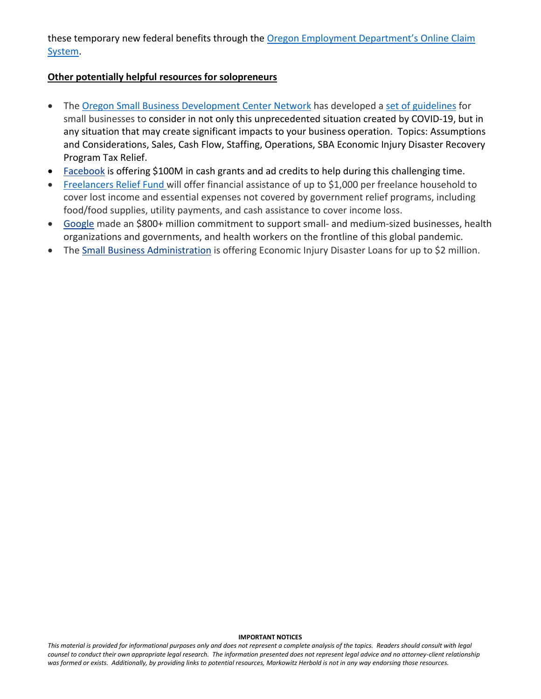these temporary new federal benefits through the Oregon Employment [Department's](https://secure.emp.state.or.us/ocs4/index.cfm?u=F20200311A102721B68861123.9417&lang=E) Online Claim [System.](https://secure.emp.state.or.us/ocs4/index.cfm?u=F20200311A102721B68861123.9417&lang=E)

## **Other potentially helpful resources for solopreneurs**

- The [Oregon Small Business Development Center Network](https://bizcenter.org/) has developed a [set of guidelines](https://climb.pcc.edu/blog/oregon-business-adversity-response-plan-regarding-covid-19#Summary) for small businesses to consider in not only this unprecedented situation created by COVID-19, but in any situation that may create significant impacts to your business operation. Topics: [Assumptions](https://climb.pcc.edu/blog/oregon-business-adversity-response-plan-regarding-covid-19#Assumptions)  [and Considerations,](https://climb.pcc.edu/blog/oregon-business-adversity-response-plan-regarding-covid-19#Assumptions) [Sales,](https://climb.pcc.edu/blog/oregon-business-adversity-response-plan-regarding-covid-19#sales) [Cash Flow,](https://climb.pcc.edu/blog/oregon-business-adversity-response-plan-regarding-covid-19#CashFlow) [Staffing,](https://climb.pcc.edu/blog/oregon-business-adversity-response-plan-regarding-covid-19#Staffing) [Operations,](https://climb.pcc.edu/blog/oregon-business-adversity-response-plan-regarding-covid-19#Operations) SBA Economic Injury Disaster Recovery Program [Tax Relief.](https://climb.pcc.edu/blog/oregon-business-adversity-response-plan-regarding-covid-19#TaxRelief)
- [Facebook](https://www.facebook.com/business/boost/grants) is offering \$100M in cash grants and ad credits to help during this challenging time.
- [Freelancers Relief Fund w](https://www.freelancersunion.org/resources/freelancers-relief-fund/)ill offer financial assistance of up to \$1,000 per freelance household to cover lost income and essential expenses not covered by government relief programs, including food/food supplies, utility payments, and cash assistance to cover income loss.
- [Google](https://www.blog.google/inside-google/company-announcements/commitment-support-small-businesses-and-crisis-response-covid-19/) made an \$800+ million commitment to support small- and medium-sized businesses, health organizations and governments, and health workers on the frontline of this global pandemic.
- The [Small Business Administration](https://www.sba.gov/about-sba/sba-newsroom/press-releases-media-advisories/sba-provide-disaster-assistance-loans-small-businesses-impacted-coronavirus-covid-19) is offering Economic Injury Disaster Loans for up to \$2 million.

#### **IMPORTANT NOTICES**

*This material is provided for informational purposes only and does not represent a complete analysis of the topics. Readers should consult with legal counsel to conduct their own appropriate legal research. The information presented does not represent legal advice and no attorney-client relationship was formed or exists. Additionally, by providing links to potential resources, Markowitz Herbold is not in any way endorsing those resources.*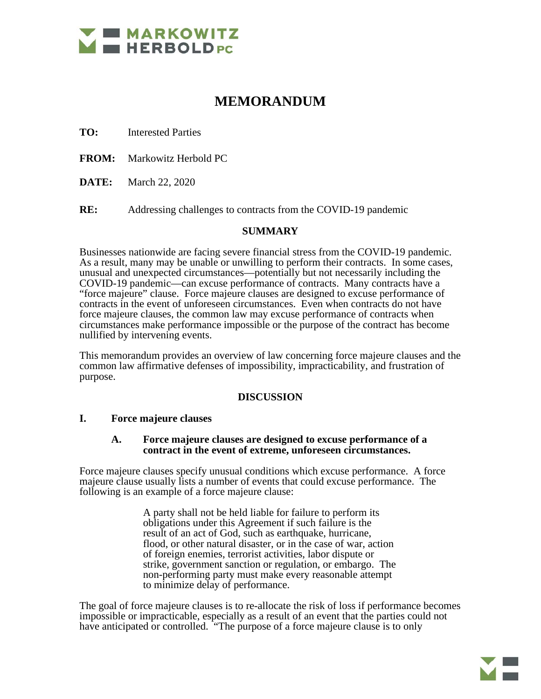

# **MEMORANDUM**

**TO:** Interested Parties

**FROM:** Markowitz Herbold PC

**DATE:** March 22, 2020

**RE:** Addressing challenges to contracts from the COVID-19 pandemic

#### **SUMMARY**

Businesses nationwide are facing severe financial stress from the COVID-19 pandemic. As a result, many may be unable or unwilling to perform their contracts. In some cases, unusual and unexpected circumstances—potentially but not necessarily including the COVID-19 pandemic—can excuse performance of contracts. Many contracts have a "force majeure" clause. Force majeure clauses are designed to excuse performance of contracts in the event of unforeseen circumstances. Even when contracts do not have force majeure clauses, the common law may excuse performance of contracts when circumstances make performance impossible or the purpose of the contract has become nullified by intervening events.

This memorandum provides an overview of law concerning force majeure clauses and the common law affirmative defenses of impossibility, impracticability, and frustration of purpose.

#### **DISCUSSION**

#### **I. Force majeure clauses**

#### **A. Force majeure clauses are designed to excuse performance of a contract in the event of extreme, unforeseen circumstances.**

Force majeure clauses specify unusual conditions which excuse performance. A force majeure clause usually lists a number of events that could excuse performance. The following is an example of a force majeure clause:

> A party shall not be held liable for failure to perform its obligations under this Agreement if such failure is the result of an act of God, such as earthquake, hurricane, flood, or other natural disaster, or in the case of war, action of foreign enemies, terrorist activities, labor dispute or strike, government sanction or regulation, or embargo. The non-performing party must make every reasonable attempt to minimize delay of performance.

The goal of force majeure clauses is to re-allocate the risk of loss if performance becomes impossible or impracticable, especially as a result of an event that the parties could not have anticipated or controlled. "The purpose of a force majeure clause is to only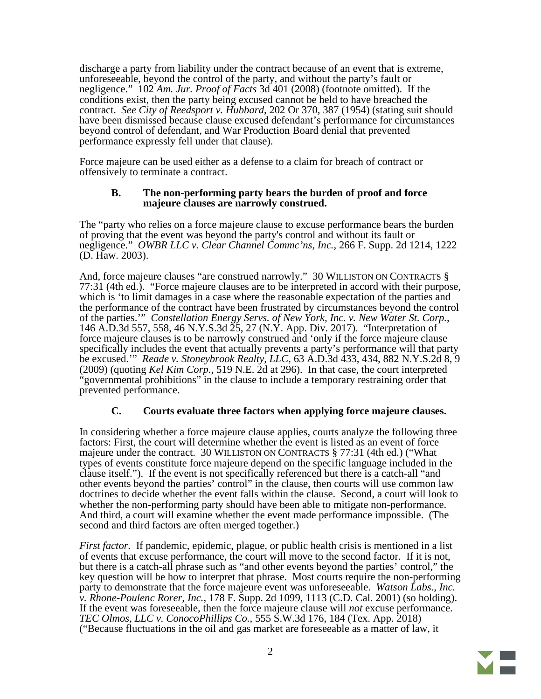discharge a party from liability under the contract because of an event that is extreme, unforeseeable, beyond the control of the party, and without the party's fault or negligence." 102 *Am. Jur. Proof of Facts* 3d 401 (2008) (footnote omitted). If the conditions exist, then the party being excused cannot be held to have breached the contract. *See City of Reedsport v. Hubbard*, 202 Or 370, 387 (1954) (stating suit should have been dismissed because clause excused defendant's performance for circumstances beyond control of defendant, and War Production Board denial that prevented performance expressly fell under that clause).

Force majeure can be used either as a defense to a claim for breach of contract or offensively to terminate a contract.

#### **B. The non-performing party bears the burden of proof and force majeure clauses are narrowly construed.**

The "party who relies on a force majeure clause to excuse performance bears the burden of proving that the event was beyond the party's control and without its fault or negligence." *OWBR LLC v. Clear Channel Commc'ns, Inc.*, 266 F. Supp. 2d 1214, 1222 (D. Haw. 2003).

And, force majeure clauses "are construed narrowly." 30 WILLISTON ON CONTRACTS § 77:31 (4th ed.). "Force majeure clauses are to be interpreted in accord with their purpose, which is 'to limit damages in a case where the reasonable expectation of the parties and the performance of the contract have been frustrated by circumstances beyond the control<br>of the parties." Constellation Energy Servs. of New York, Inc. v. New Water St. Corp., of the parties.'" *Constellation Energy Servs. of New York, Inc. v. New Water St. Corp.*, 146 A.D.3d 557, 558, 46 N.Y.S.3d 25, 27 (N.Y. App. Div. 2017). "Interpretation of force majeure clauses is to be narrowly construed and 'only if the force majeure clause specifically includes the event that actually prevents a party's performance will that party be excused.'" *Reade v. Stoneybrook Realty, LLC*, 63 A.D.3d 433, 434, 882 N.Y.S.2d 8, 9 (2009) (quoting *Kel Kim Corp.*, 519 N.E. 2d at 296). In that case, the court interpreted "governmental prohibitions" in the clause to include a temporary restraining order that prevented performance.

### **C. Courts evaluate three factors when applying force majeure clauses.**

In considering whether a force majeure clause applies, courts analyze the following three factors: First, the court will determine whether the event is listed as an event of force majeure under the contract. 30 WILLISTON ON CONTRACTS § 77:31 (4th ed.) ("What types of events constitute force majeure depend on the specific language included in the clause itself."). If the event is not specifically referenced but there is a catch-all "and other events beyond the parties' control" in the clause, then courts will use common law doctrines to decide whether the event falls within the clause. Second, a court will look to whether the non-performing party should have been able to mitigate non-performance. And third, a court will examine whether the event made performance impossible. (The second and third factors are often merged together.)

*First factor.* If pandemic, epidemic, plague, or public health crisis is mentioned in a list of events that excuse performance, the court will move to the second factor. If it is not, but there is a catch-all phrase such as "and other events beyond the parties' control," the key question will be how to interpret that phrase. Most courts require the non-performing party to demonstrate that the force majeure event was unforeseeable. *Watson Labs., Inc. v. Rhone-Poulenc Rorer, Inc.*, 178 F. Supp. 2d 1099, 1113 (C.D. Cal. 2001) (so holding). If the event was foreseeable, then the force majeure clause will *not* excuse performance. *TEC Olmos, LLC v. ConocoPhillips Co.*, 555 S.W.3d 176, 184 (Tex. App. 2018) ("Because fluctuations in the oil and gas market are foreseeable as a matter of law, it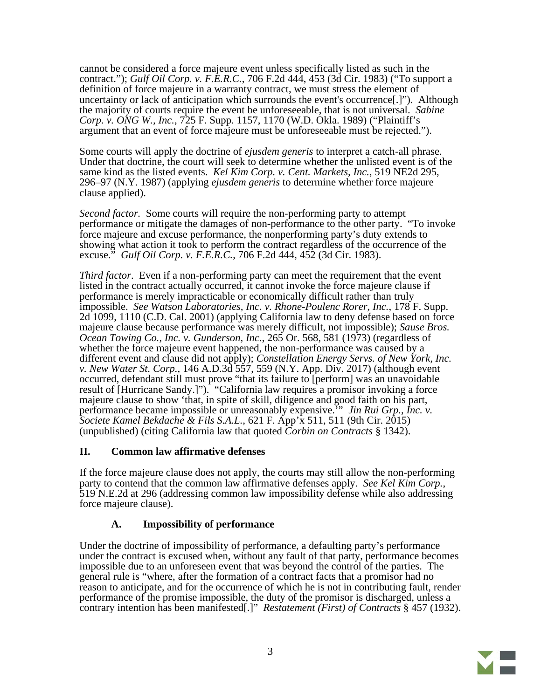cannot be considered a force majeure event unless specifically listed as such in the contract."); *Gulf Oil Corp. v. F.E.R.C.*, 706 F.2d 444, 453 (3d Cir. 1983) ("To support a definition of force majeure in a warranty contract, we must stress the element of uncertainty or lack of anticipation which surrounds the event's occurrence[.]"). Although the majority of courts require the event be unforeseeable, that is not universal. *Sabine Corp. v. ONG W., Inc.*, 725 F. Supp. 1157, 1170 (W.D. Okla. 1989) ("Plaintiff's argument that an event of force majeure must be unforeseeable must be rejected.").

Some courts will apply the doctrine of *ejusdem generis* to interpret a catch-all phrase. Under that doctrine, the court will seek to determine whether the unlisted event is of the same kind as the listed events. *Kel Kim Corp. v. Cent. Markets, Inc.*, 519 NE2d 295, 296–97 (N.Y. 1987) (applying *ejusdem generis* to determine whether force majeure clause applied).

*Second factor.* Some courts will require the non-performing party to attempt performance or mitigate the damages of non-performance to the other party. "To invoke force majeure and excuse performance, the nonperforming party's duty extends to showing what action it took to perform the contract regardless of the occurrence of the excuse." *Gulf Oil Corp. v. F.E.R.C.*, 706 F.2d 444, 452 (3d Cir. 1983).

*Third factor*. Even if a non-performing party can meet the requirement that the event listed in the contract actually occurred, it cannot invoke the force majeure clause if performance is merely impracticable or economically difficult rather than truly impossible. *See Watson Laboratories, Inc. v. Rhone-Poulenc Rorer, Inc.*, 178 F. Supp. 2d 1099, 1110 (C.D. Cal. 2001) (applying California law to deny defense based on force majeure clause because performance was merely difficult, not impossible); *Sause Bros. Ocean Towing Co., Inc. v. Gunderson, Inc.*, 265 Or. 568, 581 (1973) (regardless of whether the force majeure event happened, the non-performance was caused by a different event and clause did not apply); *Constellation Energy Servs. of New York, Inc. v. New Water St. Corp.*, 146 A.D.3d 557, 559 (N.Y. App. Div. 2017) (although event occurred, defendant still must prove "that its failure to [perform] was an unavoidable result of [Hurricane Sandy.]"). "California law requires a promisor invoking a force majeure clause to show 'that, in spite of skill, diligence and good faith on his part, performance became impossible or unreasonably expensive.'" *Jin Rui Grp., Inc. v. Societe Kamel Bekdache & Fils S.A.L.*, 621 F. App'x 511, 511 (9th Cir. 2015) (unpublished) (citing California law that quoted *Corbin on Contracts* § 1342).

## **II. Common law affirmative defenses**

If the force majeure clause does not apply, the courts may still allow the non-performing party to contend that the common law affirmative defenses apply. *See Kel Kim Corp.*, 519 N.E.2d at 296 (addressing common law impossibility defense while also addressing force majeure clause).

## **A. Impossibility of performance**

Under the doctrine of impossibility of performance, a defaulting party's performance under the contract is excused when, without any fault of that party, performance becomes impossible due to an unforeseen event that was beyond the control of the parties. The general rule is "where, after the formation of a contract facts that a promisor had no reason to anticipate, and for the occurrence of which he is not in contributing fault, render performance of the promise impossible, the duty of the promisor is discharged, unless a contrary intention has been manifested[.]" *Restatement (First) of Contracts* § 457 (1932).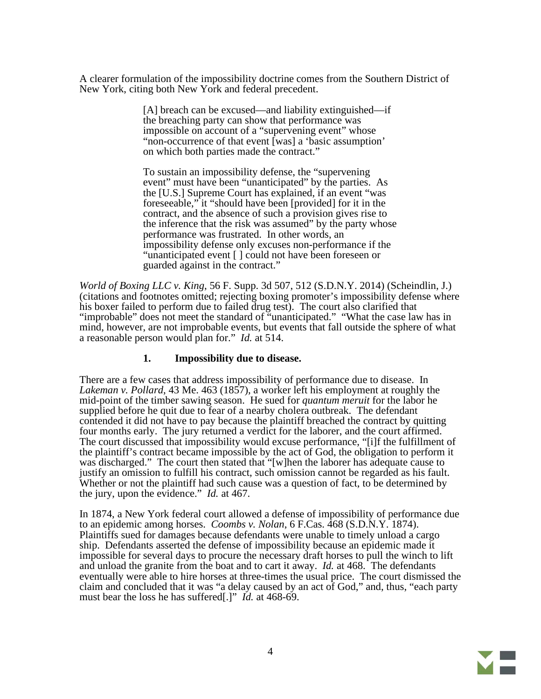A clearer formulation of the impossibility doctrine comes from the Southern District of New York, citing both New York and federal precedent.

> [A] breach can be excused—and liability extinguished—if the breaching party can show that performance was impossible on account of a "supervening event" whose "non-occurrence of that event [was] a 'basic assumption' on which both parties made the contract."

To sustain an impossibility defense, the "supervening event" must have been "unanticipated" by the parties. As the [U.S.] Supreme Court has explained, if an event "was foreseeable," it "should have been [provided] for it in the contract, and the absence of such a provision gives rise to the inference that the risk was assumed" by the party whose performance was frustrated. In other words, an impossibility defense only excuses non-performance if the "unanticipated event [ ] could not have been foreseen or guarded against in the contract."

*World of Boxing LLC v. King*, 56 F. Supp. 3d 507, 512 (S.D.N.Y. 2014) (Scheindlin, J.) (citations and footnotes omitted; rejecting boxing promoter's impossibility defense where his boxer failed to perform due to failed drug test). The court also clarified that "improbable" does not meet the standard of "unanticipated." "What the case law has in mind, however, are not improbable events, but events that fall outside the sphere of what a reasonable person would plan for." *Id.* at 514.

### **1. Impossibility due to disease.**

There are a few cases that address impossibility of performance due to disease. In *Lakeman v. Pollard*, 43 Me. 463 (1857), a worker left his employment at roughly the mid-point of the timber sawing season. He sued for *quantum meruit* for the labor he supplied before he quit due to fear of a nearby cholera outbreak. The defendant contended it did not have to pay because the plaintiff breached the contract by quitting four months early. The jury returned a verdict for the laborer, and the court affirmed. The court discussed that impossibility would excuse performance, "[i]f the fulfillment of the plaintiff's contract became impossible by the act of God, the obligation to perform it was discharged." The court then stated that "[w]hen the laborer has adequate cause to justify an omission to fulfill his contract, such omission cannot be regarded as his fault. Whether or not the plaintiff had such cause was a question of fact, to be determined by the jury, upon the evidence." *Id.* at 467.

In 1874, a New York federal court allowed a defense of impossibility of performance due to an epidemic among horses. *Coombs v. Nolan*, 6 F.Cas. 468 (S.D.N.Y. 1874). Plaintiffs sued for damages because defendants were unable to timely unload a cargo ship. Defendants asserted the defense of impossibility because an epidemic made it impossible for several days to procure the necessary draft horses to pull the winch to lift and unload the granite from the boat and to cart it away. *Id.* at 468. The defendants eventually were able to hire horses at three-times the usual price. The court dismissed the claim and concluded that it was "a delay caused by an act of God," and, thus, "each party must bear the loss he has suffered[.]" *Id.* at 468-69.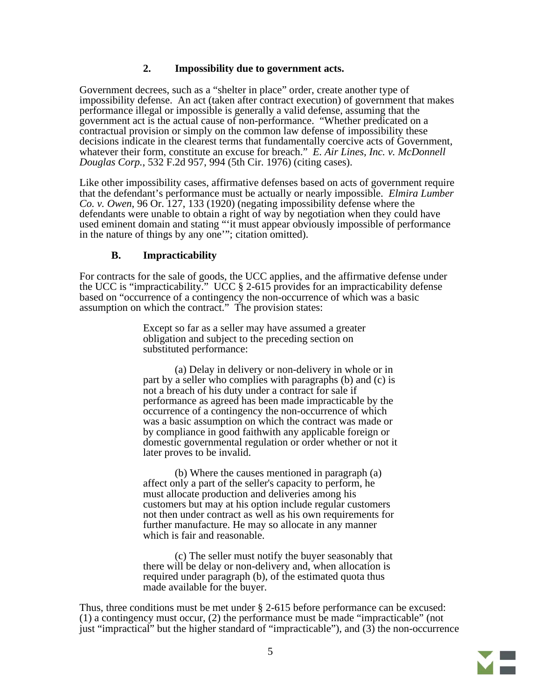### **2. Impossibility due to government acts.**

Government decrees, such as a "shelter in place" order, create another type of impossibility defense. An act (taken after contract execution) of government that makes performance illegal or impossible is generally a valid defense, assuming that the government act is the actual cause of non-performance. "Whether predicated on a contractual provision or simply on the common law defense of impossibility these decisions indicate in the clearest terms that fundamentally coercive acts of Government, whatever their form, constitute an excuse for breach." *E. Air Lines, Inc. v. McDonnell Douglas Corp.*, 532 F.2d 957, 994 (5th Cir. 1976) (citing cases).

Like other impossibility cases, affirmative defenses based on acts of government require that the defendant's performance must be actually or nearly impossible. *Elmira Lumber Co. v. Owen*, 96 Or. 127, 133 (1920) (negating impossibility defense where the defendants were unable to obtain a right of way by negotiation when they could have used eminent domain and stating "'it must appear obviously impossible of performance in the nature of things by any one'"; citation omitted).

#### **B. Impracticability**

For contracts for the sale of goods, the UCC applies, and the affirmative defense under the UCC is "impracticability." UCC § 2-615 provides for an impracticability defense based on "occurrence of a contingency the non-occurrence of which was a basic assumption on which the contract." The provision states:

> Except so far as a seller may have assumed a greater obligation and subject to the preceding section on substituted performance:

(a) Delay in delivery or non-delivery in whole or in part by a seller who complies with paragraphs (b) and (c) is not a breach of his duty under a contract for sale if performance as agreed has been made impracticable by the occurrence of a contingency the non-occurrence of which was a basic assumption on which the contract was made or by compliance in good faithwith any applicable foreign or domestic governmental regulation or order whether or not it later proves to be invalid.

(b) Where the causes mentioned in paragraph (a) affect only a part of the seller's capacity to perform, he must allocate production and deliveries among his customers but may at his option include regular customers not then under contract as well as his own requirements for further manufacture. He may so allocate in any manner which is fair and reasonable.

(c) The seller must notify the buyer seasonably that there will be delay or non-delivery and, when allocation is required under paragraph (b), of the estimated quota thus made available for the buyer.

Thus, three conditions must be met under § 2-615 before performance can be excused: (1) a contingency must occur, (2) the performance must be made "impracticable" (not just "impractical" but the higher standard of "impracticable"), and  $(3)$  the non-occurrence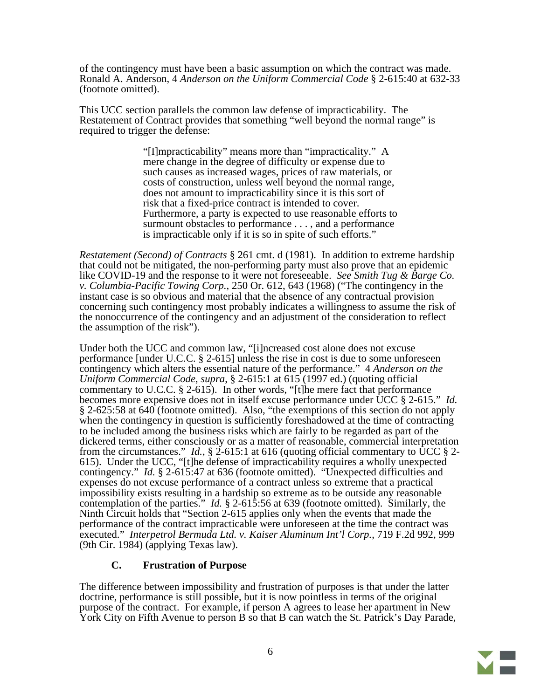of the contingency must have been a basic assumption on which the contract was made. Ronald A. Anderson, 4 *Anderson on the Uniform Commercial Code* § 2-615:40 at 632-33 (footnote omitted).

This UCC section parallels the common law defense of impracticability. The Restatement of Contract provides that something "well beyond the normal range" is required to trigger the defense:

> "[I]mpracticability" means more than "impracticality." A mere change in the degree of difficulty or expense due to such causes as increased wages, prices of raw materials, or costs of construction, unless well beyond the normal range, does not amount to impracticability since it is this sort of risk that a fixed-price contract is intended to cover. Furthermore, a party is expected to use reasonable efforts to surmount obstacles to performance . . . , and a performance is impracticable only if it is so in spite of such efforts."

*Restatement (Second) of Contracts* § 261 cmt. d (1981). In addition to extreme hardship that could not be mitigated, the non-performing party must also prove that an epidemic like COVID-19 and the response to it were not foreseeable. *See Smith Tug & Barge Co. v. Columbia-Pacific Towing Corp.*, 250 Or. 612, 643 (1968) ("The contingency in the instant case is so obvious and material that the absence of any contractual provision concerning such contingency most probably indicates a willingness to assume the risk of the nonoccurrence of the contingency and an adjustment of the consideration to reflect the assumption of the risk").

Under both the UCC and common law, "[i]ncreased cost alone does not excuse performance [under U.C.C. § 2-615] unless the rise in cost is due to some unforeseen contingency which alters the essential nature of the performance." 4 *Anderson on the Uniform Commercial Code*, *supra*, § 2-615:1 at 615 (1997 ed.) (quoting official commentary to U.C.C. § 2-615). In other words, "[t]he mere fact that performance becomes more expensive does not in itself excuse performance under UCC § 2-615." *Id.* § 2-625:58 at 640 (footnote omitted). Also, "the exemptions of this section do not apply when the contingency in question is sufficiently foreshadowed at the time of contracting to be included among the business risks which are fairly to be regarded as part of the dickered terms, either consciously or as a matter of reasonable, commercial interpretation from the circumstances." *Id.*, § 2-615:1 at 616 (quoting official commentary to UCC § 2-615). Under the UCC, "[t]he defense of impracticability requires a wholly unexpected contingency." *Id.* § 2-615:47 at 636 (footnote omitted). "Unexpected difficulties and expenses do not excuse performance of a contract unless so extreme that a practical impossibility exists resulting in a hardship so extreme as to be outside any reasonable contemplation of the parties." *Id.* § 2-615:56 at 639 (footnote omitted). Similarly, the Ninth Circuit holds that "Section 2-615 applies only when the events that made the performance of the contract impracticable were unforeseen at the time the contract was executed." *Interpetrol Bermuda Ltd. v. Kaiser Aluminum Int'l Corp.*, 719 F.2d 992, 999 (9th Cir. 1984) (applying Texas law).

## **C. Frustration of Purpose**

The difference between impossibility and frustration of purposes is that under the latter doctrine, performance is still possible, but it is now pointless in terms of the original purpose of the contract. For example, if person A agrees to lease her apartment in New York City on Fifth Avenue to person B so that B can watch the St. Patrick's Day Parade,